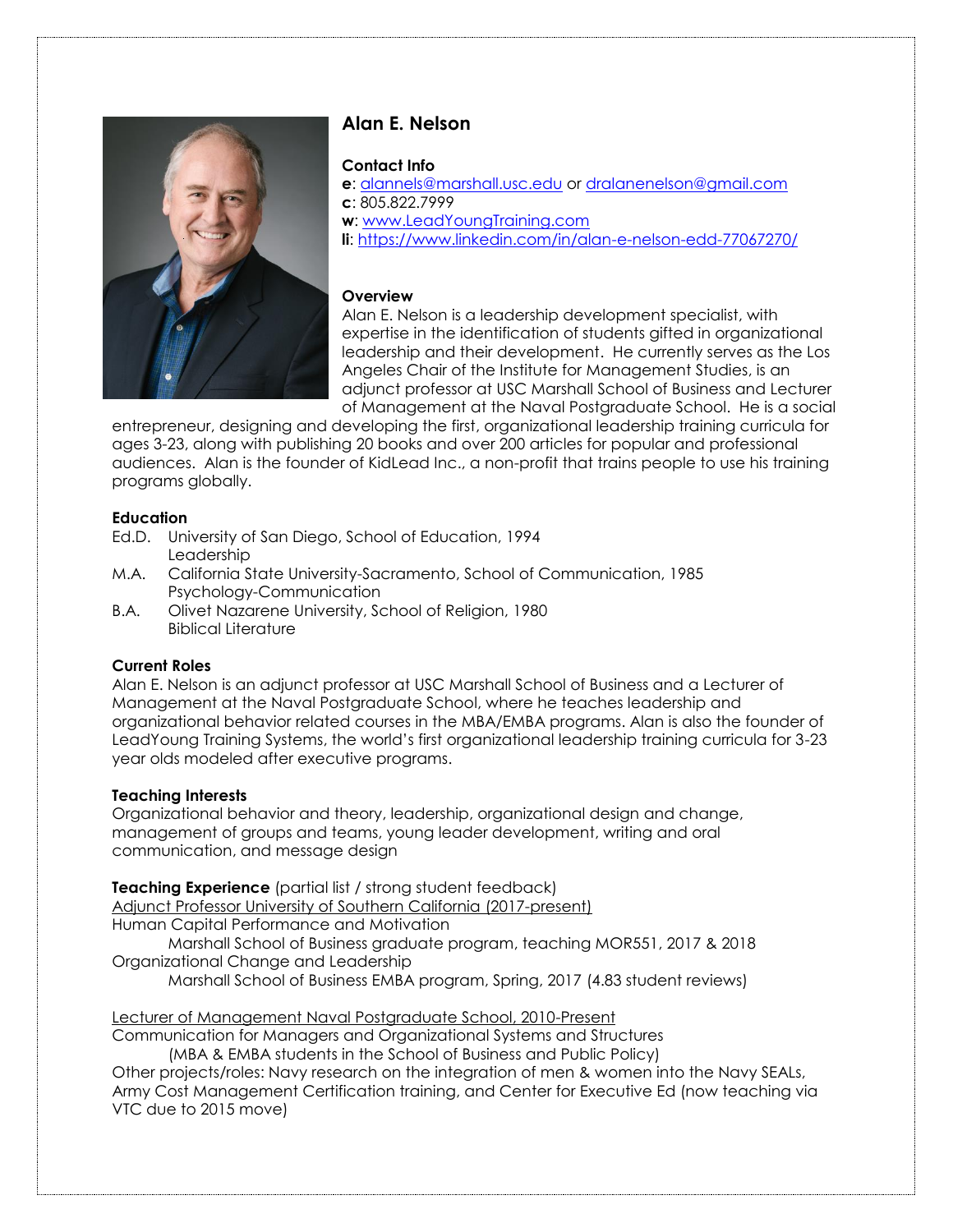

# **Alan E. Nelson**

# **Contact Info**

**e**: [alannels@marshall.usc.edu](mailto:alannels@marshall.usc.edu) or [dralanenelson@gmail.com](mailto:dralanenelson@gmail.com) **c**: 805.822.7999 **w**: [www.LeadYoungTraining.com](http://www.leadyoungtraining.com/) **li**:<https://www.linkedin.com/in/alan-e-nelson-edd-77067270/>

# **Overview**

Alan E. Nelson is a leadership development specialist, with expertise in the identification of students gifted in organizational leadership and their development. He currently serves as the Los Angeles Chair of the Institute for Management Studies, is an adjunct professor at USC Marshall School of Business and Lecturer of Management at the Naval Postgraduate School. He is a social

entrepreneur, designing and developing the first, organizational leadership training curricula for ages 3-23, along with publishing 20 books and over 200 articles for popular and professional audiences. Alan is the founder of KidLead Inc., a non-profit that trains people to use his training programs globally.

### **Education**

- Ed.D. University of San Diego, School of Education, 1994 Leadership
- M.A. California State University-Sacramento, School of Communication, 1985 Psychology-Communication
- B.A. Olivet Nazarene University, School of Religion, 1980 Biblical Literature

# **Current Roles**

Alan E. Nelson is an adjunct professor at USC Marshall School of Business and a Lecturer of Management at the Naval Postgraduate School, where he teaches leadership and organizational behavior related courses in the MBA/EMBA programs. Alan is also the founder of LeadYoung Training Systems, the world's first organizational leadership training curricula for 3-23 year olds modeled after executive programs.

# **Teaching Interests**

Organizational behavior and theory, leadership, organizational design and change, management of groups and teams, young leader development, writing and oral communication, and message design

# **Teaching Experience** (partial list / strong student feedback)

Adjunct Professor University of Southern California (2017-present) Human Capital Performance and Motivation

Marshall School of Business graduate program, teaching MOR551, 2017 & 2018 Organizational Change and Leadership

Marshall School of Business EMBA program, Spring, 2017 (4.83 student reviews)

Lecturer of Management Naval Postgraduate School, 2010-Present

Communication for Managers and Organizational Systems and Structures

(MBA & EMBA students in the School of Business and Public Policy) Other projects/roles: Navy research on the integration of men & women into the Navy SEALs, Army Cost Management Certification training, and Center for Executive Ed (now teaching via VTC due to 2015 move)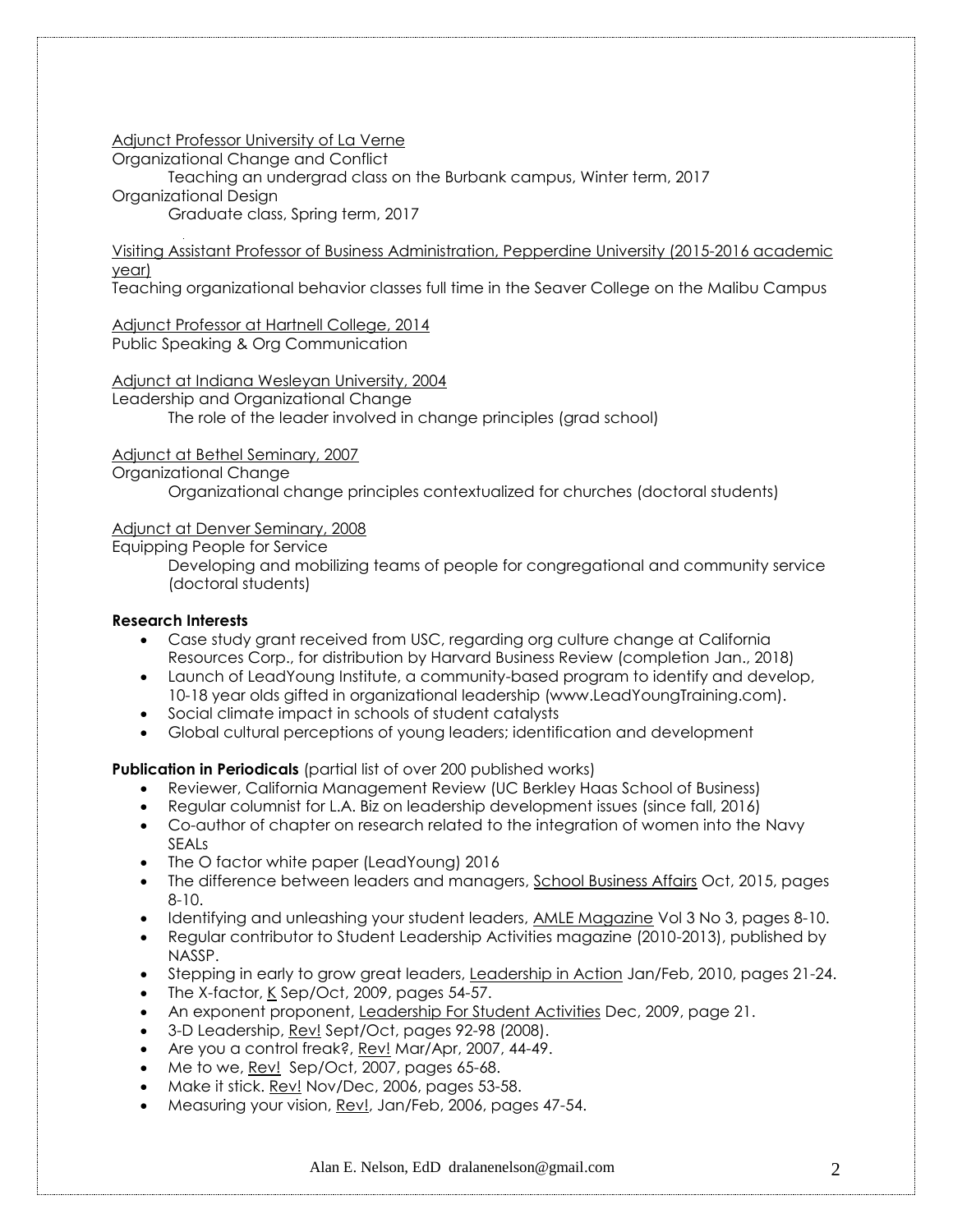Adjunct Professor University of La Verne

Organizational Change and Conflict

Teaching an undergrad class on the Burbank campus, Winter term, 2017 Organizational Design Graduate class, Spring term, 2017

Visiting Assistant Professor of Business Administration, Pepperdine University (2015-2016 academic year)

Teaching organizational behavior classes full time in the Seaver College on the Malibu Campus

Adjunct Professor at Hartnell College, 2014 Public Speaking & Org Communication

Adjunct at Indiana Wesleyan University, 2004 Leadership and Organizational Change The role of the leader involved in change principles (grad school)

# Adjunct at Bethel Seminary, 2007

Organizational Change

Organizational change principles contextualized for churches (doctoral students)

# Adjunct at Denver Seminary, 2008

Equipping People for Service

Developing and mobilizing teams of people for congregational and community service (doctoral students)

# **Research Interests**

- Case study grant received from USC, regarding org culture change at California Resources Corp., for distribution by Harvard Business Review (completion Jan., 2018)
- Launch of LeadYoung Institute, a community-based program to identify and develop, 10-18 year olds gifted in organizational leadership (www.LeadYoungTraining.com).
- Social climate impact in schools of student catalysts
- Global cultural perceptions of young leaders; identification and development

**Publication in Periodicals** (partial list of over 200 published works)

- Reviewer, California Management Review (UC Berkley Haas School of Business)
- Regular columnist for L.A. Biz on leadership development issues (since fall, 2016)
- Co-author of chapter on research related to the integration of women into the Navy SEALs
- The O factor white paper (LeadYoung) 2016
- The difference between leaders and managers, School Business Affairs Oct, 2015, pages 8-10.
- Identifying and unleashing your student leaders, AMLE Magazine Vol 3 No 3, pages 8-10.
- Regular contributor to Student Leadership Activities magazine (2010-2013), published by NASSP.
- Stepping in early to grow great leaders, Leadership in Action Jan/Feb, 2010, pages 21-24.
- The X-factor, K Sep/Oct, 2009, pages 54-57.
- An exponent proponent, Leadership For Student Activities Dec, 2009, page 21.
- 3-D Leadership, Rev! Sept/Oct, pages 92-98 (2008).
- Are you a control freak?, Rev! Mar/Apr, 2007, 44-49.
- Me to we, Rev! Sep/Oct, 2007, pages 65-68.
- Make it stick. Rev! Nov/Dec, 2006, pages 53-58.
- Measuring your vision, Rev!, Jan/Feb, 2006, pages 47-54.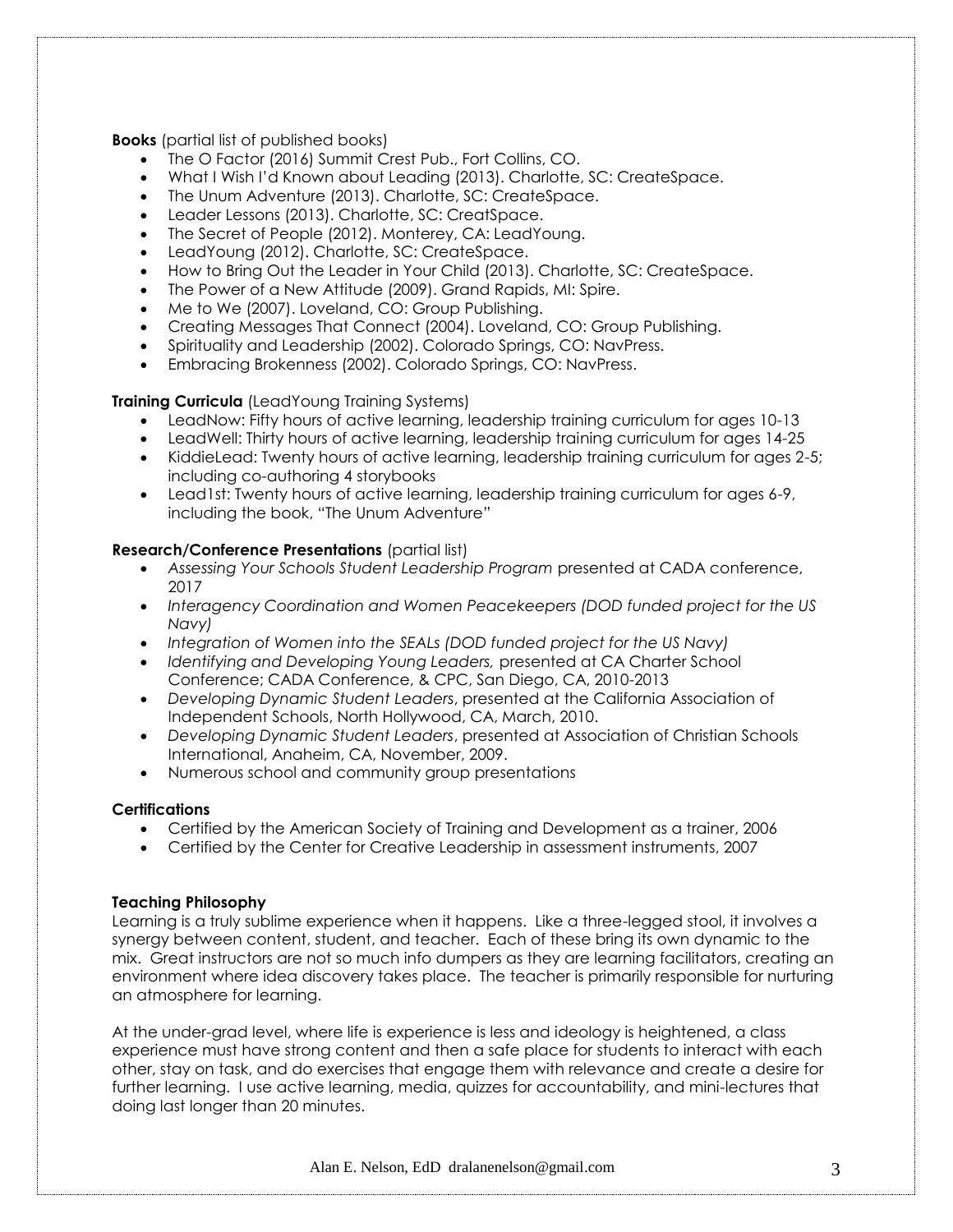**Books** (partial list of published books)

- The O Factor (2016) Summit Crest Pub., Fort Collins, CO.
- What I Wish I'd Known about Leading (2013). Charlotte, SC: CreateSpace.
- The Unum Adventure (2013). Charlotte, SC: CreateSpace.
- Leader Lessons (2013). Charlotte, SC: CreatSpace.
- The Secret of People (2012). Monterey, CA: LeadYoung.
- LeadYoung (2012). Charlotte, SC: CreateSpace.
- How to Bring Out the Leader in Your Child (2013). Charlotte, SC: CreateSpace.
- The Power of a New Attitude (2009). Grand Rapids, MI: Spire.
- Me to We (2007). Loveland, CO: Group Publishing.
- Creating Messages That Connect (2004). Loveland, CO: Group Publishing.
- Spirituality and Leadership (2002). Colorado Springs, CO: NavPress.
- Embracing Brokenness (2002). Colorado Springs, CO: NavPress.

### **Training Curricula** (LeadYoung Training Systems)

- LeadNow: Fifty hours of active learning, leadership training curriculum for ages 10-13
- LeadWell: Thirty hours of active learning, leadership training curriculum for ages 14-25
- KiddieLead: Twenty hours of active learning, leadership training curriculum for ages 2-5; including co-authoring 4 storybooks
- Lead1st: Twenty hours of active learning, leadership training curriculum for ages 6-9, including the book, "The Unum Adventure"

### **Research/Conference Presentations (partial list)**

- *Assessing Your Schools Student Leadership Program* presented at CADA conference, 2017
- *Interagency Coordination and Women Peacekeepers (DOD funded project for the US Navy)*
- *Integration of Women into the SEALs (DOD funded project for the US Navy)*
- *Identifying and Developing Young Leaders,* presented at CA Charter School Conference; CADA Conference, & CPC, San Diego, CA, 2010-2013
- *Developing Dynamic Student Leaders*, presented at the California Association of Independent Schools, North Hollywood, CA, March, 2010.
- *Developing Dynamic Student Leaders*, presented at Association of Christian Schools International, Anaheim, CA, November, 2009.
- Numerous school and community group presentations

### **Certifications**

- Certified by the American Society of Training and Development as a trainer, 2006
- Certified by the Center for Creative Leadership in assessment instruments, 2007

### **Teaching Philosophy**

Learning is a truly sublime experience when it happens. Like a three-legged stool, it involves a synergy between content, student, and teacher. Each of these bring its own dynamic to the mix. Great instructors are not so much info dumpers as they are learning facilitators, creating an environment where idea discovery takes place. The teacher is primarily responsible for nurturing an atmosphere for learning.

At the under-grad level, where life is experience is less and ideology is heightened, a class experience must have strong content and then a safe place for students to interact with each other, stay on task, and do exercises that engage them with relevance and create a desire for further learning. I use active learning, media, quizzes for accountability, and mini-lectures that doing last longer than 20 minutes.